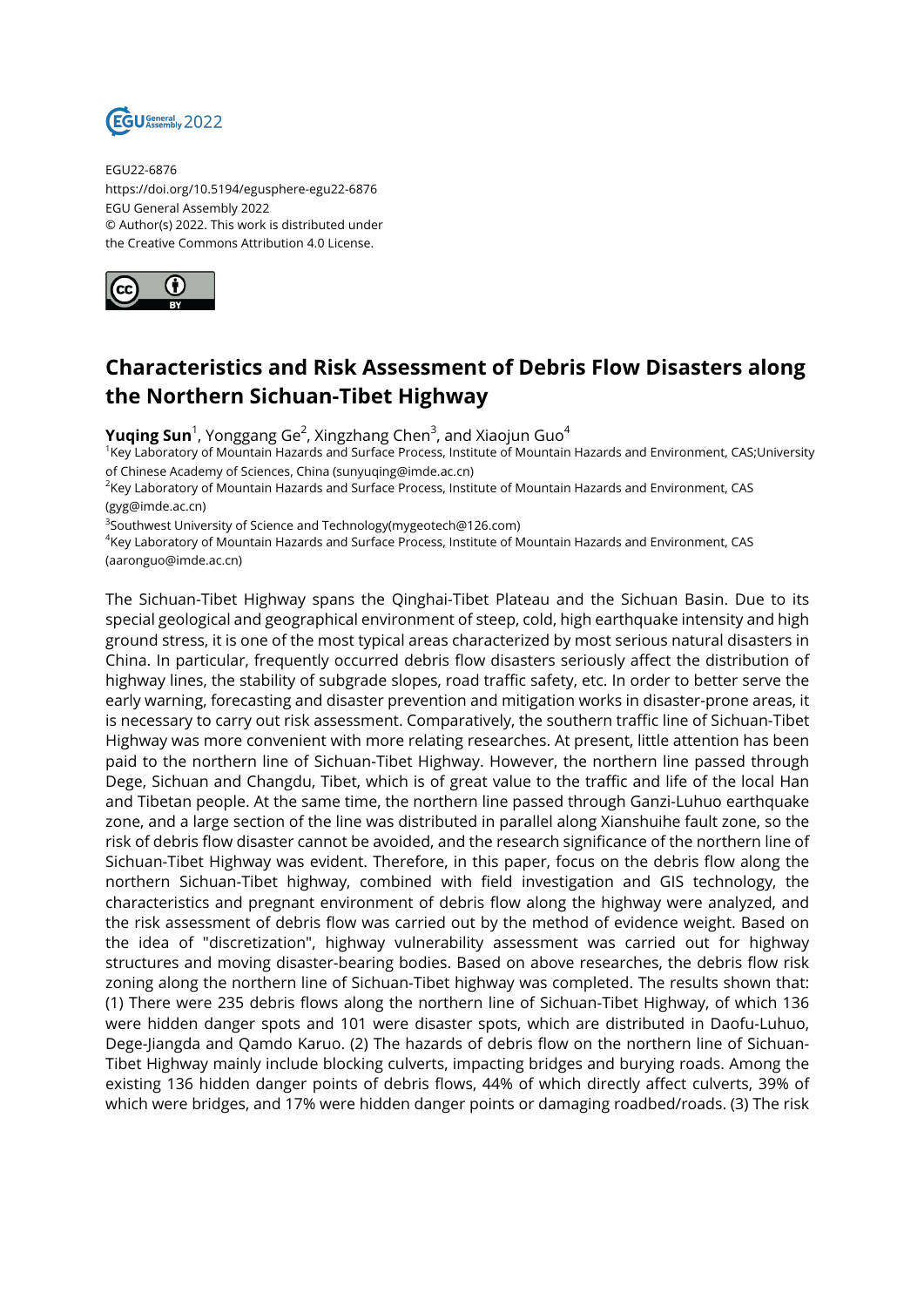

EGU22-6876 https://doi.org/10.5194/egusphere-egu22-6876 EGU General Assembly 2022 © Author(s) 2022. This work is distributed under the Creative Commons Attribution 4.0 License.



## **Characteristics and Risk Assessment of Debris Flow Disasters along the Northern Sichuan-Tibet Highway**

**Yuqing Sun**<sup>1</sup>, Yonggang Ge<sup>2</sup>, Xingzhang Chen<sup>3</sup>, and Xiaojun Guo<sup>4</sup>

<sup>1</sup>Key Laboratory of Mountain Hazards and Surface Process, Institute of Mountain Hazards and Environment, CAS;University of Chinese Academy of Sciences, China (sunyuqing@imde.ac.cn)

<sup>2</sup>Key Laboratory of Mountain Hazards and Surface Process, Institute of Mountain Hazards and Environment, CAS (gyg@imde.ac.cn)

 $^3$ Southwest University of Science and Technology(mygeotech@126.com)

4 Key Laboratory of Mountain Hazards and Surface Process, Institute of Mountain Hazards and Environment, CAS (aaronguo@imde.ac.cn)

The Sichuan-Tibet Highway spans the Qinghai-Tibet Plateau and the Sichuan Basin. Due to its special geological and geographical environment of steep, cold, high earthquake intensity and high ground stress, it is one of the most typical areas characterized by most serious natural disasters in China. In particular, frequently occurred debris flow disasters seriously affect the distribution of highway lines, the stability of subgrade slopes, road traffic safety, etc. In order to better serve the early warning, forecasting and disaster prevention and mitigation works in disaster-prone areas, it is necessary to carry out risk assessment. Comparatively, the southern traffic line of Sichuan-Tibet Highway was more convenient with more relating researches. At present, little attention has been paid to the northern line of Sichuan-Tibet Highway. However, the northern line passed through Dege, Sichuan and Changdu, Tibet, which is of great value to the traffic and life of the local Han and Tibetan people. At the same time, the northern line passed through Ganzi-Luhuo earthquake zone, and a large section of the line was distributed in parallel along Xianshuihe fault zone, so the risk of debris flow disaster cannot be avoided, and the research significance of the northern line of Sichuan-Tibet Highway was evident. Therefore, in this paper, focus on the debris flow along the northern Sichuan-Tibet highway, combined with field investigation and GIS technology, the characteristics and pregnant environment of debris flow along the highway were analyzed, and the risk assessment of debris flow was carried out by the method of evidence weight. Based on the idea of "discretization", highway vulnerability assessment was carried out for highway structures and moving disaster-bearing bodies. Based on above researches, the debris flow risk zoning along the northern line of Sichuan-Tibet highway was completed. The results shown that: (1) There were 235 debris flows along the northern line of Sichuan-Tibet Highway, of which 136 were hidden danger spots and 101 were disaster spots, which are distributed in Daofu-Luhuo, Dege-Jiangda and Qamdo Karuo. (2) The hazards of debris flow on the northern line of Sichuan-Tibet Highway mainly include blocking culverts, impacting bridges and burying roads. Among the existing 136 hidden danger points of debris flows, 44% of which directly affect culverts, 39% of which were bridges, and 17% were hidden danger points or damaging roadbed/roads. (3) The risk